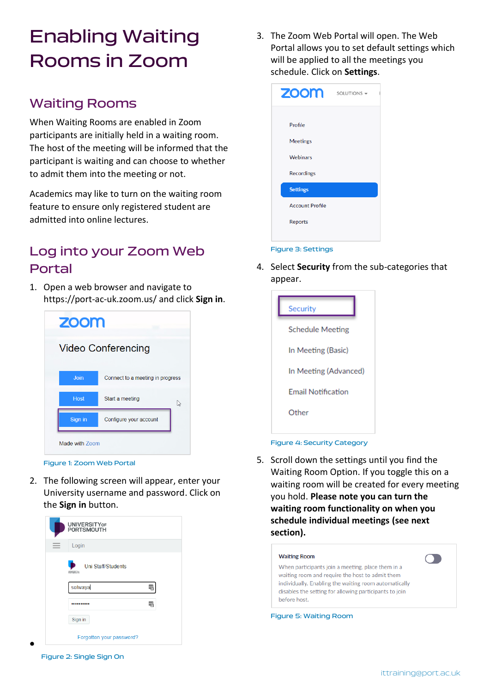# Enabling Waiting Rooms in Zoom

### Waiting Rooms

When Waiting Rooms are enabled in Zoom participants are initially held in a waiting room. The host of the meeting will be informed that the participant is waiting and can choose to whether to admit them into the meeting or not.

Academics may like to turn on the waiting room feature to ensure only registered student are admitted into online lectures.

### Log into your Zoom Web Portal

1. Open a web browser and navigate to <https://port-ac-uk.zoom.us/> and click **Sign in**.





2. The following screen will appear, enter your University username and password. Click on the **Sign in** button.



3. The Zoom Web Portal will open. The Web Portal allows you to set default settings which will be applied to all the meetings you schedule. Click on **Settings**.



4. Select **Security** from the sub-categories that appear.



### Figure 4: Security Category

5. Scroll down the settings until you find the Waiting Room Option. If you toggle this on a waiting room will be created for every meeting you hold. **Please note you can turn the waiting room functionality on when you schedule individual meetings (see next section).**



Figure 2: Single Sign On